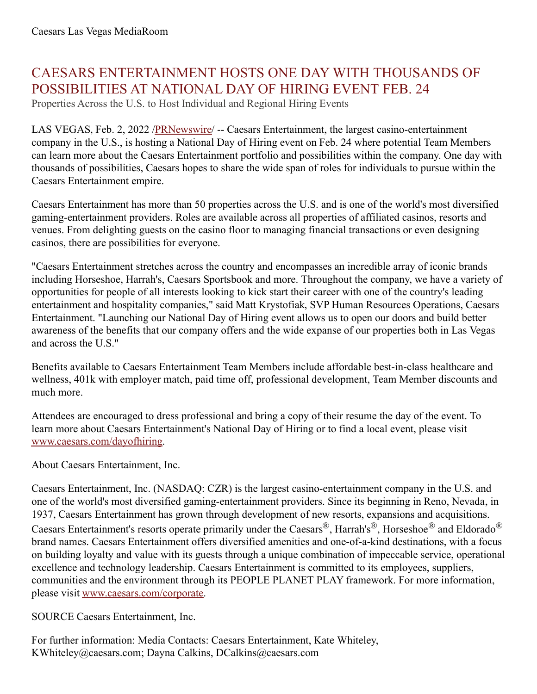## CAESARS ENTERTAINMENT HOSTS ONE DAY WITH THOUSANDS OF POSSIBILITIES AT NATIONAL DAY OF HIRING EVENT FEB. 24

Properties Across the U.S. to Host Individual and Regional Hiring Events

LAS VEGAS, Feb. 2, 2022 /**PRNewswire/** -- Caesars Entertainment, the largest casino-entertainment company in the U.S., is hosting a National Day of Hiring event on Feb. 24 where potential Team Members can learn more about the Caesars Entertainment portfolio and possibilities within the company. One day with thousands of possibilities, Caesars hopes to share the wide span of roles for individuals to pursue within the Caesars Entertainment empire.

Caesars Entertainment has more than 50 properties across the U.S. and is one of the world's most diversified gaming-entertainment providers. Roles are available across all properties of affiliated casinos, resorts and venues. From delighting guests on the casino floor to managing financial transactions or even designing casinos, there are possibilities for everyone.

"Caesars Entertainment stretches across the country and encompasses an incredible array of iconic brands including Horseshoe, Harrah's, Caesars Sportsbook and more. Throughout the company, we have a variety of opportunities for people of all interests looking to kick start their career with one of the country's leading entertainment and hospitality companies," said Matt Krystofiak, SVP Human Resources Operations, Caesars Entertainment. "Launching our National Day of Hiring event allows us to open our doors and build better awareness of the benefits that our company offers and the wide expanse of our properties both in Las Vegas and across the U.S."

Benefits available to Caesars Entertainment Team Members include affordable best-in-class healthcare and wellness, 401k with employer match, paid time off, professional development, Team Member discounts and much more.

Attendees are encouraged to dress professional and bring a copy of their resume the day of the event. To learn more about Caesars Entertainment's National Day of Hiring or to find a local event, please visit [www.caesars.com/dayofhiring](https://c212.net/c/link/?t=0&l=en&o=3432465-1&h=3544799891&u=http%3A%2F%2Fwww.caesars.com%2Fdayofhiring&a=www.caesars.com%2Fdayofhiring).

About Caesars Entertainment, Inc.

Caesars Entertainment, Inc. (NASDAQ: CZR) is the largest casino-entertainment company in the U.S. and one of the world's most diversified gaming-entertainment providers. Since its beginning in Reno, Nevada, in 1937, Caesars Entertainment has grown through development of new resorts, expansions and acquisitions. Caesars Entertainment's resorts operate primarily under the Caesars®, Harrah's®, Horseshoe® and Eldorado® brand names. Caesars Entertainment offers diversified amenities and one-of-a-kind destinations, with a focus on building loyalty and value with its guests through a unique combination of impeccable service, operational excellence and technology leadership. Caesars Entertainment is committed to its employees, suppliers, communities and the environment through its PEOPLE PLANET PLAY framework. For more information, please visit [www.caesars.com/corporate.](https://c212.net/c/link/?t=0&l=en&o=3432465-1&h=2901674766&u=http%3A%2F%2Fwww.caesars.com%2Fcorporate&a=www.caesars.com%2Fcorporate)

SOURCE Caesars Entertainment, Inc.

For further information: Media Contacts: Caesars Entertainment, Kate Whiteley, KWhiteley@caesars.com; Dayna Calkins, DCalkins@caesars.com